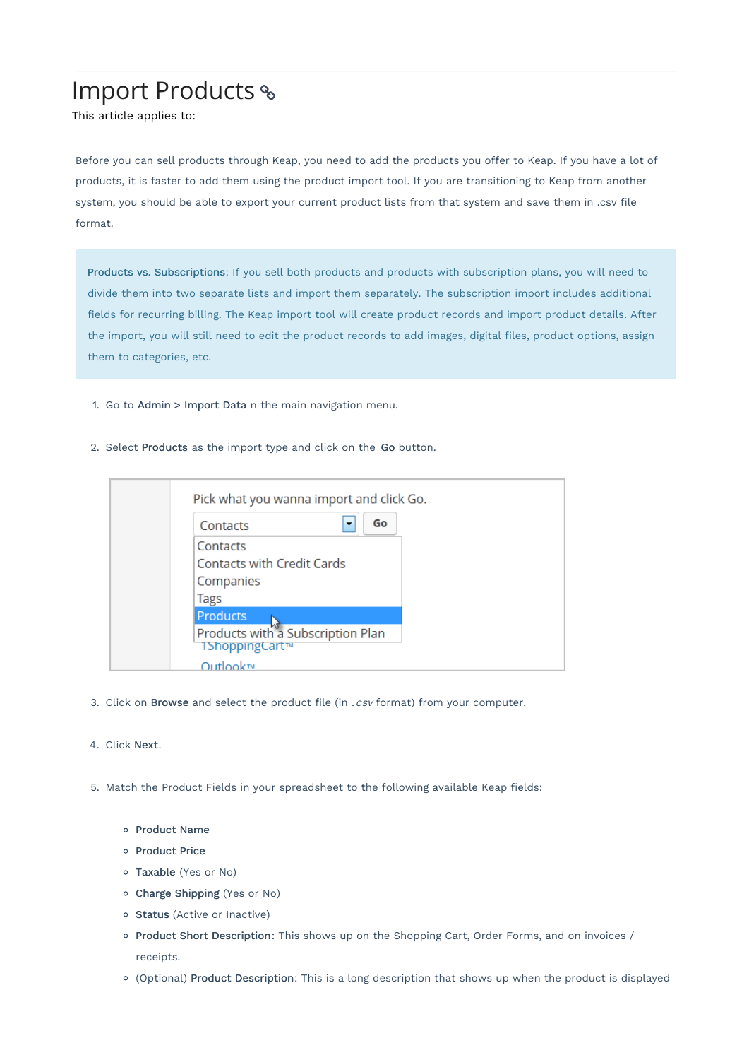## Import Products

This article applies to:

Before you can sell products through Keap, you need to add the products you offer to Keap. If you have a lot of products, it is faster to add them using the product import tool. If you are transitioning to Keap from another system, you should be able to export your current product lists from that system and save them in .csv file format.

Products vs. Subscriptions: If you sell both products and products with subscription plans, you will need to divide them into two separate lists and import them separately. The subscription import includes additional fields for recurring billing. The Keap import tool will create product records and import product details. After the import, you will still need to edit the product records to add images, digital files, product options, assign them to categories, etc.

- 1. Go to Admin > Import Data n the main navigation menu.
- 2. Select Products as the import type and click on the Go button.



- 3. Click on Browse and select the product file (in . csv format) from your computer.
- 4. Click Next.
- 5. Match the Product Fields in your spreadsheet to the following available Keap fields:
	- o Product Name
	- o Product Price
	- Taxable (Yes or No)
	- Charge Shipping (Yes or No)
	- o Status (Active or Inactive)
	- o Product Short Description: This shows up on the Shopping Cart, Order Forms, and on invoices / receipts.
	- (Optional) Product Description: This is a long description that shows up when the product is displayed